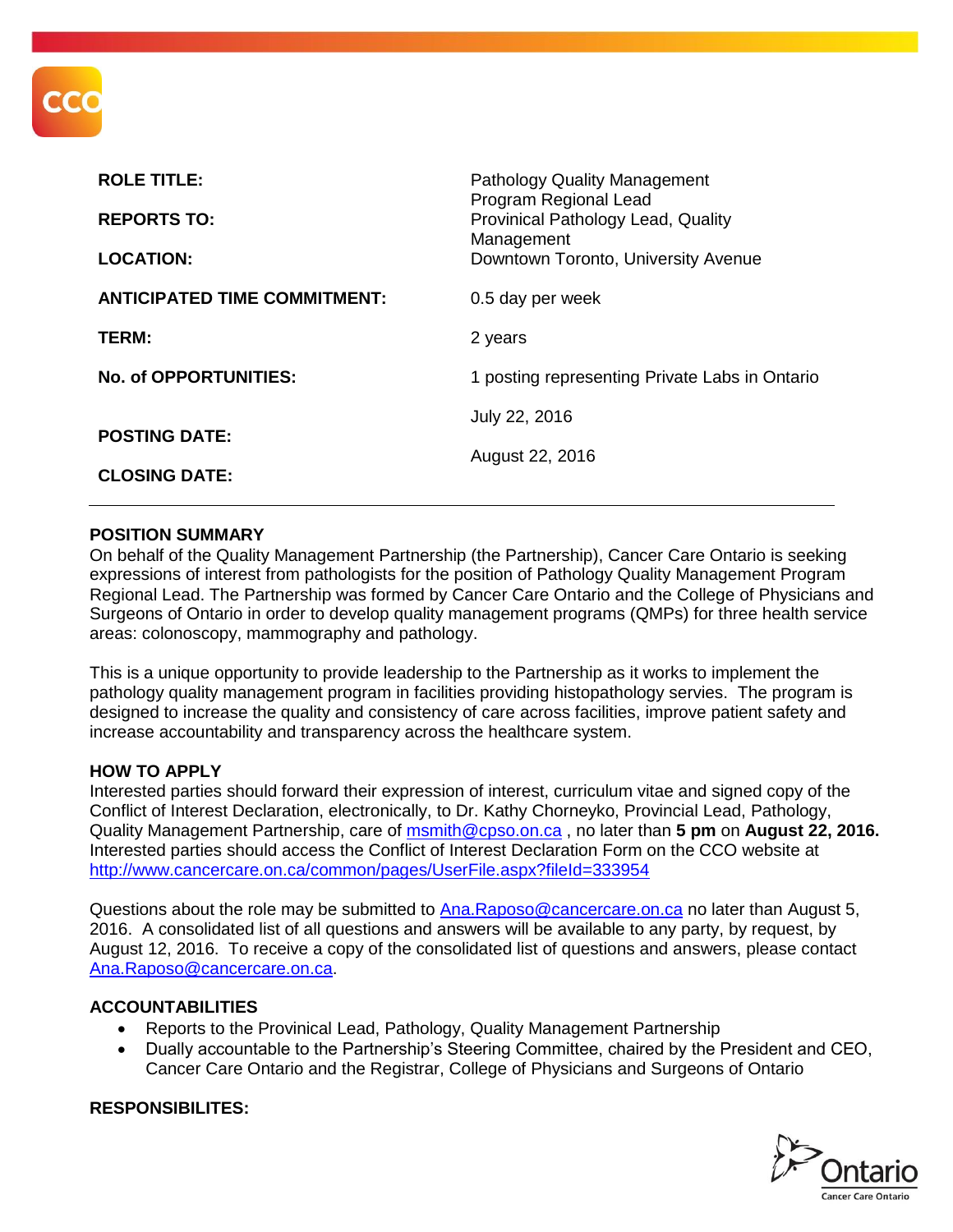

| <b>ROLE TITLE:</b><br><b>REPORTS TO:</b> | <b>Pathology Quality Management</b><br>Program Regional Lead<br>Provinical Pathology Lead, Quality<br>Management |
|------------------------------------------|------------------------------------------------------------------------------------------------------------------|
| <b>LOCATION:</b>                         | Downtown Toronto, University Avenue                                                                              |
| <b>ANTICIPATED TIME COMMITMENT:</b>      | 0.5 day per week                                                                                                 |
| TERM:                                    | 2 years                                                                                                          |
| No. of OPPORTUNITIES:                    | 1 posting representing Private Labs in Ontario                                                                   |
| <b>POSTING DATE:</b>                     | July 22, 2016                                                                                                    |
|                                          | August 22, 2016                                                                                                  |
| <b>CLOSING DATE:</b>                     |                                                                                                                  |

### **POSITION SUMMARY**

On behalf of the Quality Management Partnership (the Partnership), Cancer Care Ontario is seeking expressions of interest from pathologists for the position of Pathology Quality Management Program Regional Lead. The Partnership was formed by Cancer Care Ontario and the College of Physicians and Surgeons of Ontario in order to develop quality management programs (QMPs) for three health service areas: colonoscopy, mammography and pathology.

This is a unique opportunity to provide leadership to the Partnership as it works to implement the pathology quality management program in facilities providing histopathology servies. The program is designed to increase the quality and consistency of care across facilities, improve patient safety and increase accountability and transparency across the healthcare system.

#### **HOW TO APPLY**

Interested parties should forward their expression of interest, curriculum vitae and signed copy of the Conflict of Interest Declaration, electronically, to Dr. Kathy Chorneyko, Provincial Lead, Pathology, Quality Management Partnership, care of [msmith@cpso.on.ca](mailto:msmith@cpso.on.ca) , no later than **5 pm** on **August 22, 2016.**  Interested parties should access the Conflict of Interest Declaration Form on the CCO website at <http://www.cancercare.on.ca/common/pages/UserFile.aspx?fileId=333954>

Questions about the role may be submitted to [Ana.Raposo@cancercare.on.ca](mailto:Ana.Raposo@cancercare.on.ca) no later than August 5, 2016. A consolidated list of all questions and answers will be available to any party, by request, by August 12, 2016. To receive a copy of the consolidated list of questions and answers, please contact [Ana.Raposo@cancercare.on.ca.](mailto:Ana.Raposo@cancercare.on.ca)

#### **ACCOUNTABILITIES**

- Reports to the Provinical Lead, Pathology, Quality Management Partnership
- Dually accountable to the Partnership's Steering Committee, chaired by the President and CEO, Cancer Care Ontario and the Registrar, College of Physicians and Surgeons of Ontario



### **RESPONSIBILITES:**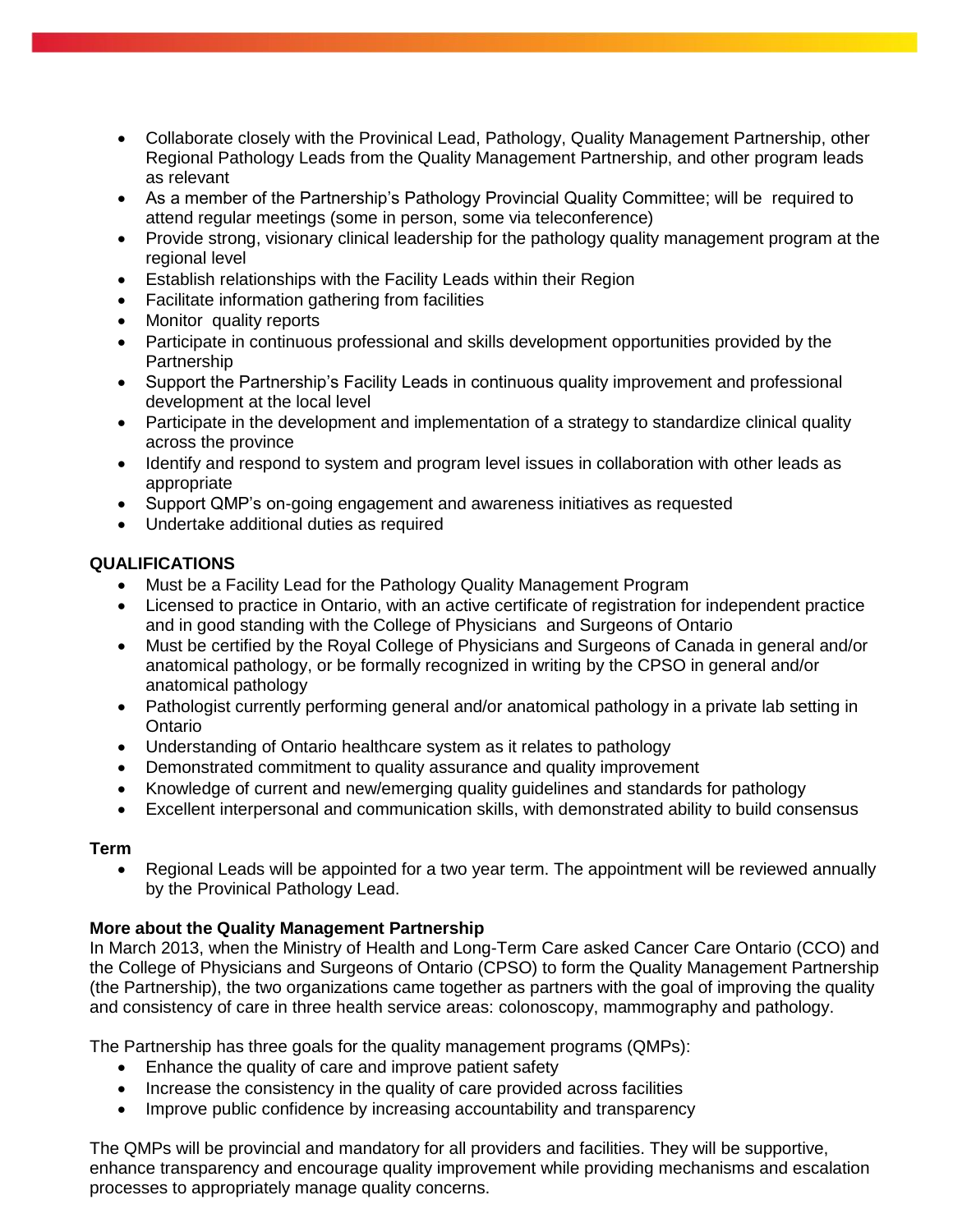- Collaborate closely with the Provinical Lead, Pathology, Quality Management Partnership, other Regional Pathology Leads from the Quality Management Partnership, and other program leads as relevant
- As a member of the Partnership's Pathology Provincial Quality Committee; will be required to attend regular meetings (some in person, some via teleconference)
- Provide strong, visionary clinical leadership for the pathology quality management program at the regional level
- Establish relationships with the Facility Leads within their Region
- Facilitate information gathering from facilities
- Monitor quality reports
- Participate in continuous professional and skills development opportunities provided by the **Partnership**
- Support the Partnership's Facility Leads in continuous quality improvement and professional development at the local level
- Participate in the development and implementation of a strategy to standardize clinical quality across the province
- Identify and respond to system and program level issues in collaboration with other leads as appropriate
- Support QMP's on-going engagement and awareness initiatives as requested
- Undertake additional duties as required

# **QUALIFICATIONS**

- Must be a Facility Lead for the Pathology Quality Management Program
- Licensed to practice in Ontario, with an active certificate of registration for independent practice and in good standing with the College of Physicians and Surgeons of Ontario
- Must be certified by the Royal College of Physicians and Surgeons of Canada in general and/or anatomical pathology, or be formally recognized in writing by the CPSO in general and/or anatomical pathology
- Pathologist currently performing general and/or anatomical pathology in a private lab setting in **Ontario**
- Understanding of Ontario healthcare system as it relates to pathology
- Demonstrated commitment to quality assurance and quality improvement
- Knowledge of current and new/emerging quality guidelines and standards for pathology
- Excellent interpersonal and communication skills, with demonstrated ability to build consensus

### **Term**

• Regional Leads will be appointed for a two year term. The appointment will be reviewed annually by the Provinical Pathology Lead.

# **More about the Quality Management Partnership**

In March 2013, when the Ministry of Health and Long-Term Care asked Cancer Care Ontario (CCO) and the College of Physicians and Surgeons of Ontario (CPSO) to form the Quality Management Partnership (the Partnership), the two organizations came together as partners with the goal of improving the quality and consistency of care in three health service areas: colonoscopy, mammography and pathology.

The Partnership has three goals for the quality management programs (QMPs):

- Enhance the quality of care and improve patient safety
- Increase the consistency in the quality of care provided across facilities
- Improve public confidence by increasing accountability and transparency

The QMPs will be provincial and mandatory for all providers and facilities. They will be supportive, enhance transparency and encourage quality improvement while providing mechanisms and escalation processes to appropriately manage quality concerns.